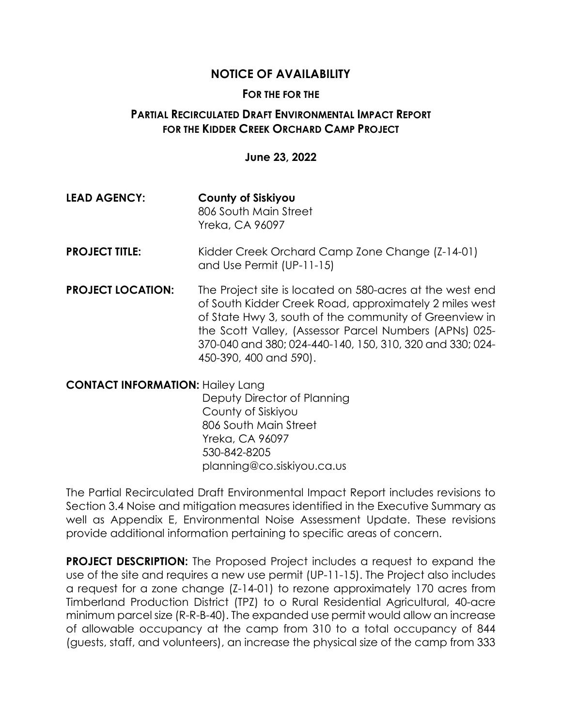## **NOTICE OF AVAILABILITY**

## **FOR THE FOR THE**

## **PARTIAL RECIRCULATED DRAFT ENVIRONMENTAL IMPACT REPORT FOR THE KIDDER CREEK ORCHARD CAMP PROJECT**

## **June 23, 2022**

- **LEAD AGENCY: County of Siskiyou** 806 South Main Street Yreka, CA 96097
- **PROJECT TITLE:** Kidder Creek Orchard Camp Zone Change (Z-14-01) and Use Permit (UP-11-15)
- **PROJECT LOCATION:** The Project site is located on 580-acres at the west end of South Kidder Creek Road, approximately 2 miles west of State Hwy 3, south of the community of Greenview in the Scott Valley, (Assessor Parcel Numbers (APNs) 025- 370-040 and 380; 024-440-140, 150, 310, 320 and 330; 024- 450-390, 400 and 590).

**CONTACT INFORMATION:** Hailey Lang Deputy Director of Planning County of Siskiyou 806 South Main Street Yreka, CA 96097 530-842-8205 planning@co.siskiyou.ca.us

The Partial Recirculated Draft Environmental Impact Report includes revisions to Section 3.4 Noise and mitigation measures identified in the Executive Summary as well as Appendix E, Environmental Noise Assessment Update. These revisions provide additional information pertaining to specific areas of concern.

**PROJECT DESCRIPTION:** The Proposed Project includes a request to expand the use of the site and requires a new use permit (UP-11-15). The Project also includes a request for a zone change (Z-14-01) to rezone approximately 170 acres from Timberland Production District (TPZ) to o Rural Residential Agricultural, 40-acre minimum parcel size (R-R-B-40). The expanded use permit would allow an increase of allowable occupancy at the camp from 310 to a total occupancy of 844 (guests, staff, and volunteers), an increase the physical size of the camp from 333